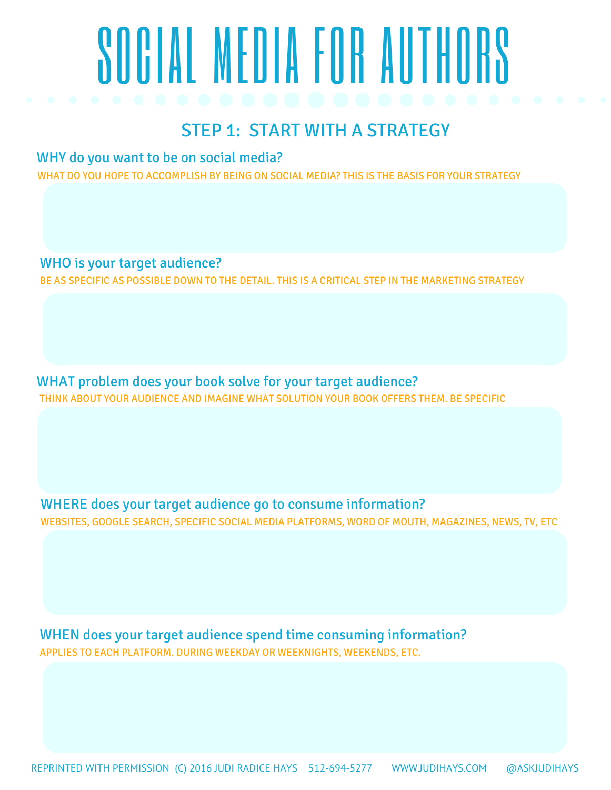# SOCIAL MEDIA FOR AUTHORS

## STEP 1: START WITH A STRATEGY

WHY do you want to be on social media?

WHAT DO YOU HOPE TO ACCOMPLISH BY BEING ON SOCIAL MEDIA? THIS IS THE BASIS FOR YOUR STRATEGY

WHO is your target audience? BE AS SPECIFIC AS POSSIBLE DOWN TO THE DETAIL. THIS IS A CRITICAL STEP IN THE MARKETING STRATEGY

WHAT problem does your book solve for your target audience? THINK ABOUT YOUR AUDIENCE AND IMAGINE WHAT SOLUTION YOUR BOOK OFFERS THEM. BE SPECIFIC

WHERE does your target audience go to consume information? WEBSITES, GOOGLE SEARCH, SPECIFIC SOCIAL MEDIA PLATFORMS, WORD OF MOUTH, MAGAZINES, NEWS, TV, ETC

WHEN does your target audience spend time consuming information? APPLIES TO EACH PLATFORM. DURING WEEKDAY OR WEEKNIGHTS, WEEKENDS, ETC.